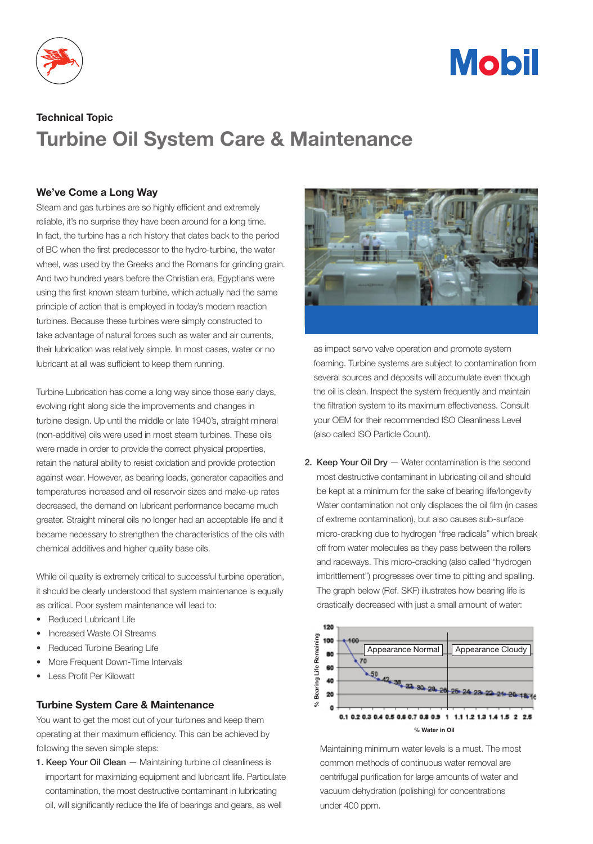



## Technical Topic Turbine Oil System Care & Maintenance

## We've Come a Long Way

Steam and gas turbines are so highly efficient and extremely reliable, it's no surprise they have been around for a long time. In fact, the turbine has a rich history that dates back to the period of BC when the first predecessor to the hydro-turbine, the water wheel, was used by the Greeks and the Romans for grinding grain. And two hundred years before the Christian era, Egyptians were using the first known steam turbine, which actually had the same principle of action that is employed in today's modern reaction turbines. Because these turbines were simply constructed to take advantage of natural forces such as water and air currents, their lubrication was relatively simple. In most cases, water or no lubricant at all was sufficient to keep them running.

Turbine Lubrication has come a long way since those early days, evolving right along side the improvements and changes in turbine design. Up until the middle or late 1940's, straight mineral (non-additive) oils were used in most steam turbines. These oils were made in order to provide the correct physical properties, retain the natural ability to resist oxidation and provide protection against wear. However, as bearing loads, generator capacities and temperatures increased and oil reservoir sizes and make-up rates decreased, the demand on lubricant performance became much greater. Straight mineral oils no longer had an acceptable life and it became necessary to strengthen the characteristics of the oils with chemical additives and higher quality base oils.

While oil quality is extremely critical to successful turbine operation, it should be clearly understood that system maintenance is equally as critical. Poor system maintenance will lead to:

- **Reduced Lubricant Life**
- Increased Waste Oil Streams
- Reduced Turbine Bearing Life
- More Frequent Down-Time Intervals
- **Less Profit Per Kilowatt**

## Turbine System Care & Maintenance

You want to get the most out of your turbines and keep them operating at their maximum efficiency. This can be achieved by following the seven simple steps:

1. Keep Your Oil Clean - Maintaining turbine oil cleanliness is important for maximizing equipment and lubricant life. Particulate contamination, the most destructive contaminant in lubricating oil, will significantly reduce the life of bearings and gears, as well



as impact servo valve operation and promote system foaming. Turbine systems are subject to contamination from several sources and deposits will accumulate even though the oil is clean. Inspect the system frequently and maintain the filtration system to its maximum effectiveness. Consult your OEM for their recommended ISO Cleanliness Level (also called ISO Particle Count).

2. Keep Your Oil Dry - Water contamination is the second most destructive contaminant in lubricating oil and should be kept at a minimum for the sake of bearing life/longevity Water contamination not only displaces the oil film (in cases of extreme contamination), but also causes sub-surface micro-cracking due to hydrogen "free radicals" which break off from water molecules as they pass between the rollers and raceways. This micro-cracking (also called "hydrogen imbrittlement") progresses over time to pitting and spalling. The graph below (Ref. SKF) illustrates how bearing life is drastically decreased with just a small amount of water:



 Maintaining minimum water levels is a must. The most common methods of continuous water removal are centrifugal purification for large amounts of water and vacuum dehydration (polishing) for concentrations under 400 ppm.